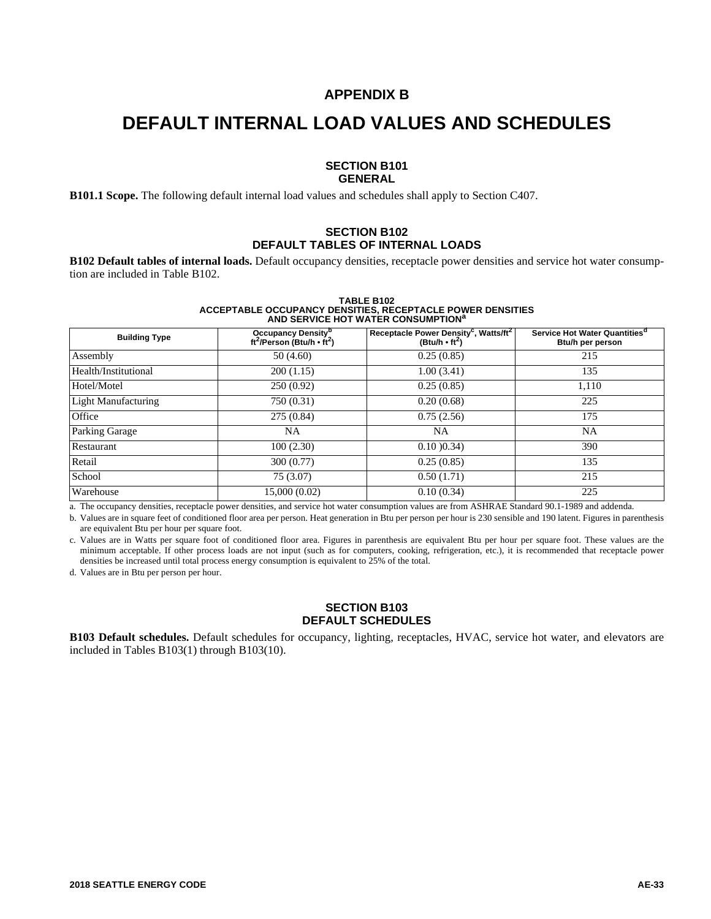#### **APPENDIX B**

## **DEFAULT INTERNAL LOAD VALUES AND SCHEDULES**

#### **SECTION B101 GENERAL**

**B101.1 Scope.** The following default internal load values and schedules shall apply to Section C407.

#### **SECTION B102 DEFAULT TABLES OF INTERNAL LOADS**

**B102 Default tables of internal loads.** Default occupancy densities, receptacle power densities and service hot water consumption are included in Table B102.

#### **TABLE B102 ACCEPTABLE OCCUPANCY DENSITIES, RECEPTACLE POWER DENSITIES AND SERVICE HOT WATER CONSUMPTION<sup>a</sup>**

| <b>Building Type</b>       | Occupancy Density <sup>b</sup><br>ft <sup>2</sup> /Person (Btu/h $\cdot$ ft <sup>2</sup> ) | Receptacle Power Density <sup>c</sup> , Watts/ft <sup>2</sup><br>(Btu/h $\cdot$ ft <sup>2</sup> ) | Service Hot Water Quantities <sup>d</sup><br>Btu/h per person |
|----------------------------|--------------------------------------------------------------------------------------------|---------------------------------------------------------------------------------------------------|---------------------------------------------------------------|
| Assembly                   | 50 (4.60)                                                                                  | 0.25(0.85)                                                                                        | 215                                                           |
| Health/Institutional       | 200(1.15)                                                                                  | 1.00(3.41)                                                                                        | 135                                                           |
| Hotel/Motel                | 250(0.92)                                                                                  | 0.25(0.85)                                                                                        | 1,110                                                         |
| <b>Light Manufacturing</b> | 750 (0.31)                                                                                 | 0.20(0.68)                                                                                        | 225                                                           |
| Office                     | 275(0.84)                                                                                  | 0.75(2.56)                                                                                        | 175                                                           |
| <b>Parking Garage</b>      | NA                                                                                         | NA                                                                                                | <b>NA</b>                                                     |
| Restaurant                 | 100(2.30)                                                                                  | $0.10$ $0.34$                                                                                     | 390                                                           |
| Retail                     | 300 (0.77)                                                                                 | 0.25(0.85)                                                                                        | 135                                                           |
| School                     | 75(3.07)                                                                                   | 0.50(1.71)                                                                                        | 215                                                           |
| Warehouse                  | 15,000 (0.02)                                                                              | 0.10(0.34)                                                                                        | 225                                                           |

a. The occupancy densities, receptacle power densities, and service hot water consumption values are from ASHRAE Standard 90.1-1989 and addenda.

b. Values are in square feet of conditioned floor area per person. Heat generation in Btu per person per hour is 230 sensible and 190 latent. Figures in parenthesis are equivalent Btu per hour per square foot.

c. Values are in Watts per square foot of conditioned floor area. Figures in parenthesis are equivalent Btu per hour per square foot. These values are the minimum acceptable. If other process loads are not input (such as for computers, cooking, refrigeration, etc.), it is recommended that receptacle power densities be increased until total process energy consumption is equivalent to 25% of the total.

d. Values are in Btu per person per hour.

#### **SECTION B103 DEFAULT SCHEDULES**

**B103 Default schedules.** Default schedules for occupancy, lighting, receptacles, HVAC, service hot water, and elevators are included in Tables B103(1) through B103(10).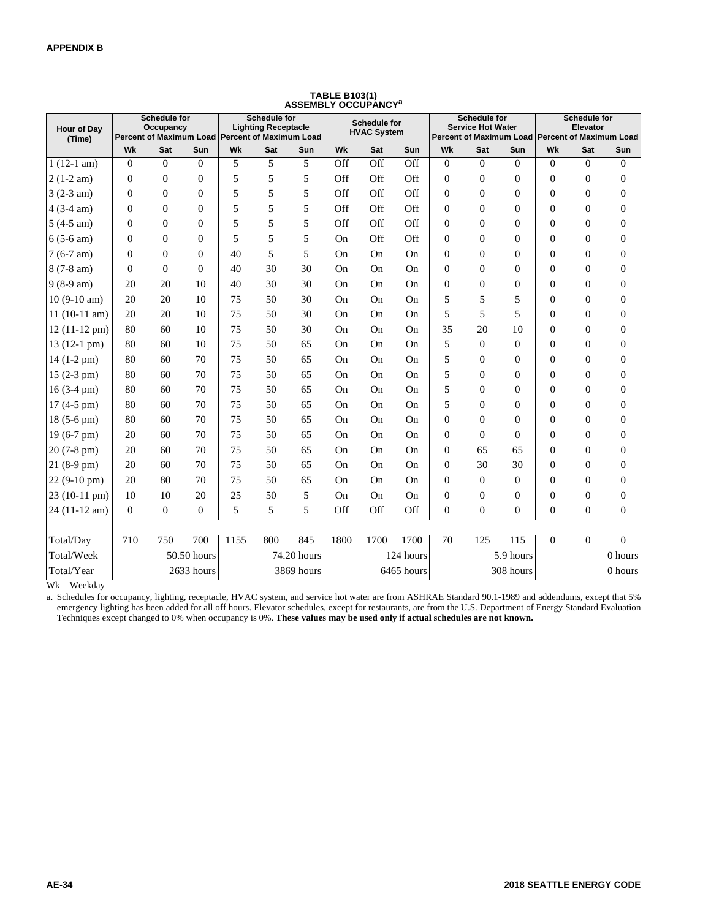| <b>Hour of Dav</b><br>(Time) |                  | <b>Schedule for</b><br>Occupancy<br>Percent of Maximum Load Percent of Maximum Load |                         |      | <b>Schedule for</b><br><b>Lighting Receptacle</b> |             |      | <b>Schedule for</b><br><b>HVAC System</b> |                         |                  | <b>Schedule for</b><br><b>Service Hot Water</b> |                  |                | <b>Schedule for</b><br>Elevator | Percent of Maximum Load Percent of Maximum Load |
|------------------------------|------------------|-------------------------------------------------------------------------------------|-------------------------|------|---------------------------------------------------|-------------|------|-------------------------------------------|-------------------------|------------------|-------------------------------------------------|------------------|----------------|---------------------------------|-------------------------------------------------|
|                              | Wk               | Sat                                                                                 | $\overline{\text{Sun}}$ | Wk   | Sat                                               | Sun         | Wk   | Sat                                       | $\overline{\text{Sun}}$ | Wk               | Sat                                             | Sun              | Wk             | Sat                             | Sun                                             |
| $1(12-1 am)$                 | $\theta$         | $\Omega$                                                                            | $\Omega$                | 5    | 5                                                 | 5           | Off  | Off                                       | Off                     | $\overline{0}$   | $\overline{0}$                                  | $\Omega$         | $\overline{0}$ | $\overline{0}$                  | $\mathbf{0}$                                    |
| $2(1-2 am)$                  | $\theta$         | $\mathbf{0}$                                                                        | $\theta$                | 5    | 5                                                 | 5           | Off  | Off                                       | Off                     | $\mathbf{0}$     | $\mathbf{0}$                                    | $\Omega$         | $\Omega$       | $\boldsymbol{0}$                | $\boldsymbol{0}$                                |
| $3(2-3 am)$                  | $\Omega$         | $\Omega$                                                                            | $\theta$                | 5    | 5                                                 | 5           | Off  | Off                                       | Off                     | $\mathbf{0}$     | $\Omega$                                        | $\Omega$         | $\Omega$       | $\boldsymbol{0}$                | $\boldsymbol{0}$                                |
| $4(3-4 am)$                  | $\overline{0}$   | $\mathbf{0}$                                                                        | $\Omega$                | 5    | 5                                                 | 5           | Off  | Off                                       | Off                     | $\boldsymbol{0}$ | $\boldsymbol{0}$                                | $\mathbf{0}$     | $\theta$       | $\boldsymbol{0}$                | $\boldsymbol{0}$                                |
| $5(4-5 am)$                  | $\mathbf{0}$     | $\Omega$                                                                            | $\Omega$                | 5    | 5                                                 | 5           | Off  | Off                                       | Off                     | $\mathbf{0}$     | $\mathbf{0}$                                    | $\Omega$         | $\Omega$       | $\overline{0}$                  | $\boldsymbol{0}$                                |
| $6(5-6 am)$                  | $\overline{0}$   | $\Omega$                                                                            | $\Omega$                | 5    | 5                                                 | 5           | On   | Off                                       | Off                     | $\mathbf{0}$     | $\mathbf{0}$                                    | $\Omega$         | $\theta$       | $\boldsymbol{0}$                | $\boldsymbol{0}$                                |
| $7(6-7 am)$                  | $\Omega$         | $\Omega$                                                                            | $\theta$                | 40   | 5                                                 | 5           | On   | On                                        | On                      | $\mathbf{0}$     | $\mathbf{0}$                                    | $\Omega$         | $\Omega$       | $\mathbf{0}$                    | $\boldsymbol{0}$                                |
| 8 (7-8 am)                   | $\overline{0}$   | $\Omega$                                                                            | $\Omega$                | 40   | 30                                                | 30          | On   | On                                        | On                      | $\mathbf{0}$     | $\overline{0}$                                  | $\Omega$         | $\theta$       | $\boldsymbol{0}$                | $\boldsymbol{0}$                                |
| $9(8-9 am)$                  | 20               | 20                                                                                  | 10                      | 40   | 30                                                | 30          | On   | On                                        | On                      | $\boldsymbol{0}$ | $\mathbf{0}$                                    | $\Omega$         | $\Omega$       | $\boldsymbol{0}$                | $\boldsymbol{0}$                                |
| $10(9-10 am)$                | 20               | 20                                                                                  | 10                      | 75   | 50                                                | 30          | On   | On                                        | On                      | 5                | 5                                               | 5                | $\Omega$       | $\boldsymbol{0}$                | $\boldsymbol{0}$                                |
| $11(10-11 am)$               | 20               | 20                                                                                  | 10                      | 75   | 50                                                | 30          | On   | On                                        | On                      | 5                | 5                                               | 5                | $\overline{0}$ | $\boldsymbol{0}$                | $\boldsymbol{0}$                                |
| 12 (11-12 pm)                | 80               | 60                                                                                  | 10                      | 75   | 50                                                | 30          | On   | On                                        | On                      | 35               | 20                                              | 10               | $\theta$       | $\boldsymbol{0}$                | $\boldsymbol{0}$                                |
| $13(12-1)$ pm $)$            | 80               | 60                                                                                  | 10                      | 75   | 50                                                | 65          | On   | On                                        | On                      | 5                | $\overline{0}$                                  | $\Omega$         | $\Omega$       | $\boldsymbol{0}$                | $\boldsymbol{0}$                                |
| 14 (1-2 pm)                  | 80               | 60                                                                                  | 70                      | 75   | 50                                                | 65          | On   | On                                        | On                      | 5                | $\theta$                                        | $\Omega$         | $\theta$       | $\boldsymbol{0}$                | $\boldsymbol{0}$                                |
| $15(2-3 pm)$                 | 80               | 60                                                                                  | 70                      | 75   | 50                                                | 65          | On   | On                                        | On                      | 5                | $\overline{0}$                                  | $\Omega$         | $\theta$       | $\mathbf{0}$                    | $\boldsymbol{0}$                                |
| $16(3-4)$ pm)                | 80               | 60                                                                                  | 70                      | 75   | 50                                                | 65          | On   | On                                        | On                      | 5                | $\theta$                                        | $\Omega$         | $\theta$       | $\boldsymbol{0}$                | $\boldsymbol{0}$                                |
| 17 (4-5 pm)                  | 80               | 60                                                                                  | 70                      | 75   | 50                                                | 65          | On   | On                                        | On                      | 5                | $\theta$                                        | $\Omega$         | $\Omega$       | $\boldsymbol{0}$                | $\boldsymbol{0}$                                |
| 18 (5-6 pm)                  | 80               | 60                                                                                  | 70                      | 75   | 50                                                | 65          | On   | On                                        | On                      | $\overline{0}$   | $\Omega$                                        | $\Omega$         | $\Omega$       | $\boldsymbol{0}$                | $\boldsymbol{0}$                                |
| 19 (6-7 pm)                  | 20               | 60                                                                                  | 70                      | 75   | 50                                                | 65          | On   | On                                        | On                      | $\mathbf{0}$     | $\overline{0}$                                  | $\mathbf{0}$     | $\overline{0}$ | $\mathbf{0}$                    | $\boldsymbol{0}$                                |
| 20 (7-8 pm)                  | 20               | 60                                                                                  | 70                      | 75   | 50                                                | 65          | On   | On                                        | On                      | $\boldsymbol{0}$ | 65                                              | 65               | $\Omega$       | $\boldsymbol{0}$                | $\boldsymbol{0}$                                |
| $21(8-9)$ pm)                | 20               | 60                                                                                  | 70                      | 75   | 50                                                | 65          | On   | On                                        | On                      | $\mathbf{0}$     | 30                                              | 30               | $\Omega$       | $\boldsymbol{0}$                | $\boldsymbol{0}$                                |
| 22 (9-10 pm)                 | 20               | 80                                                                                  | 70                      | 75   | 50                                                | 65          | On   | On                                        | On                      | $\mathbf{0}$     | $\mathbf{0}$                                    | $\Omega$         | $\Omega$       | $\boldsymbol{0}$                | $\boldsymbol{0}$                                |
| 23 (10-11 pm)                | 10               | 10                                                                                  | 20                      | 25   | 50                                                | 5           | On   | On                                        | On                      | $\mathbf{0}$     | $\mathbf{0}$                                    | $\Omega$         | $\overline{0}$ | $\boldsymbol{0}$                | $\mathbf{0}$                                    |
| 24 (11-12 am)                | $\boldsymbol{0}$ | $\boldsymbol{0}$                                                                    | $\boldsymbol{0}$        | 5    | 5                                                 | 5           | Off  | Off                                       | Off                     | $\mathbf{0}$     | $\boldsymbol{0}$                                | $\boldsymbol{0}$ | $\overline{0}$ | $\boldsymbol{0}$                | $\boldsymbol{0}$                                |
| Total/Day                    | 710              | 750                                                                                 | 700                     | 1155 | 800                                               | 845         | 1800 | 1700                                      | 1700                    | 70               | 125                                             | 115              | $\overline{0}$ | $\mathbf{0}$                    | $\overline{0}$                                  |
| Total/Week                   |                  |                                                                                     | 50.50 hours             |      |                                                   | 74.20 hours |      |                                           | 124 hours               |                  |                                                 | 5.9 hours        |                |                                 | 0 hours                                         |
| Total/Year                   |                  |                                                                                     | 2633 hours              |      |                                                   | 3869 hours  |      |                                           | 6465 hours              |                  |                                                 | 308 hours        |                |                                 | $0$ hours                                       |

## **TABLE B103(1) ASSEMBLY OCCUPANCY<sup>a</sup>**

 $Wk = Weekday$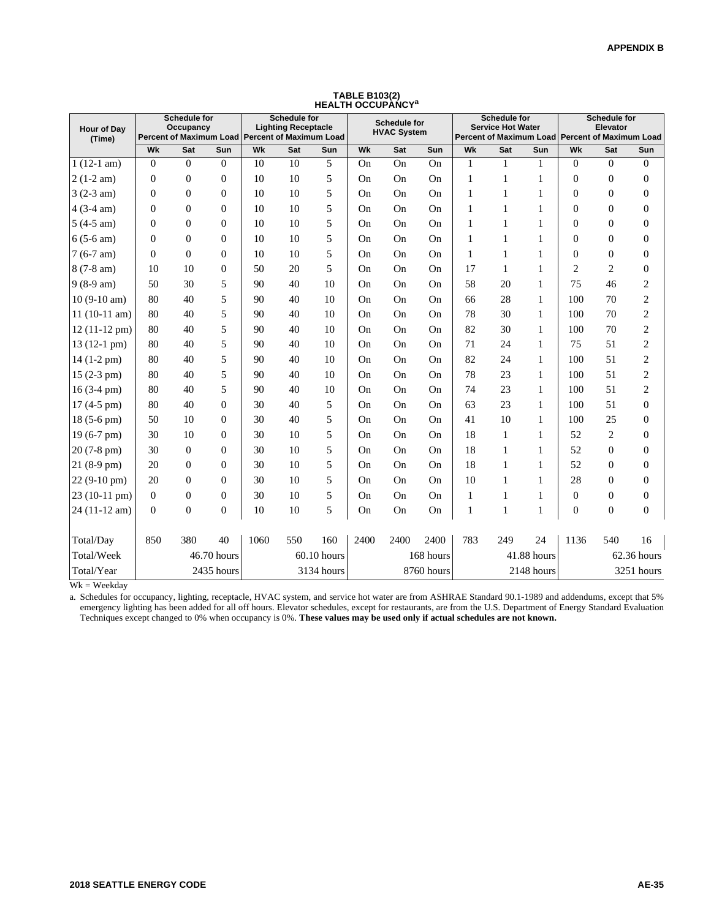| Hour of Day<br>(Time) |                | Schedule for<br>Occupancy<br>Percent of Maximum Load Percent of Maximum Load |                |      | <b>Schedule for</b><br><b>Lighting Receptacle</b> |            |           | <b>Schedule for</b><br><b>HVAC System</b> |            |              | <b>Schedule for</b><br><b>Service Hot Water</b><br>Percent of Maximum Load Percent of Maximum Load |              |                | <b>Schedule for</b><br>Elevator |                  |
|-----------------------|----------------|------------------------------------------------------------------------------|----------------|------|---------------------------------------------------|------------|-----------|-------------------------------------------|------------|--------------|----------------------------------------------------------------------------------------------------|--------------|----------------|---------------------------------|------------------|
|                       | Wk             | Sat                                                                          | Sun            | Wk   | Sat                                               | Sun        | Wk        | Sat                                       | Sun        | Wk           | Sat                                                                                                | Sun          | Wk             | Sat                             | Sun              |
| $1(12-1 am)$          | $\mathbf{0}$   | $\Omega$                                                                     | $\Omega$       | 10   | 10                                                | 5          | <b>On</b> | On                                        | On         | $\mathbf{1}$ | 1                                                                                                  | 1            | $\Omega$       | $\overline{0}$                  | $\overline{0}$   |
| $2(1-2 am)$           | $\overline{0}$ | $\overline{0}$                                                               | $\overline{0}$ | 10   | 10                                                | 5          | <b>On</b> | <b>On</b>                                 | On         | $\mathbf{1}$ | 1                                                                                                  | 1            | $\overline{0}$ | $\overline{0}$                  | $\theta$         |
| $3(2-3 am)$           | $\theta$       | $\overline{0}$                                                               | $\mathbf{0}$   | 10   | 10                                                | 5          | <b>On</b> | On                                        | On         | $\mathbf{1}$ | 1                                                                                                  | 1            | $\overline{0}$ | $\boldsymbol{0}$                | $\boldsymbol{0}$ |
| $4(3-4 am)$           | $\mathbf{0}$   | $\overline{0}$                                                               | $\Omega$       | 10   | 10                                                | 5          | <b>On</b> | <b>On</b>                                 | On         | 1            | 1                                                                                                  | 1            | $\overline{0}$ | $\boldsymbol{0}$                | $\mathbf{0}$     |
| $5(4-5 am)$           | $\theta$       | $\overline{0}$                                                               | $\Omega$       | 10   | 10                                                | 5          | <b>On</b> | <b>On</b>                                 | On         | $\mathbf{1}$ | 1                                                                                                  | 1            | $\Omega$       | $\boldsymbol{0}$                | $\boldsymbol{0}$ |
| $6(5-6 am)$           | $\theta$       | $\theta$                                                                     | $\Omega$       | 10   | 10                                                | 5          | On        | <b>On</b>                                 | On         | 1            | $\mathbf{1}$                                                                                       | 1            | $\Omega$       | $\overline{0}$                  | $\overline{0}$   |
| $7(6-7 am)$           | $\theta$       | $\theta$                                                                     | $\Omega$       | 10   | 10                                                | 5          | <b>On</b> | On                                        | On         | $\mathbf{1}$ | 1                                                                                                  | 1            | $\Omega$       | $\boldsymbol{0}$                | $\overline{0}$   |
| $8(7-8 am)$           | 10             | 10                                                                           | $\mathbf{0}$   | 50   | 20                                                | 5          | On        | On                                        | On         | 17           | 1                                                                                                  | 1            | $\mathbf{2}$   | $\mathbf{2}$                    | $\boldsymbol{0}$ |
| $9(8-9 am)$           | 50             | 30                                                                           | 5              | 90   | 40                                                | 10         | <b>On</b> | <b>On</b>                                 | On         | 58           | 20                                                                                                 | 1            | 75             | 46                              | 2                |
| $10(9-10 am)$         | 80             | 40                                                                           | 5              | 90   | 40                                                | 10         | <b>On</b> | <b>On</b>                                 | On         | 66           | 28                                                                                                 | 1            | 100            | 70                              | $\overline{c}$   |
| $11(10-11 am)$        | 80             | 40                                                                           | 5              | 90   | 40                                                | 10         | <b>On</b> | <b>On</b>                                 | On         | 78           | 30                                                                                                 | 1            | 100            | 70                              | $\overline{c}$   |
| 12 (11-12 pm)         | 80             | 40                                                                           | 5              | 90   | 40                                                | 10         | <b>On</b> | <b>On</b>                                 | On         | 82           | 30                                                                                                 | 1            | 100            | 70                              | $\overline{c}$   |
| 13 (12-1 pm)          | 80             | 40                                                                           | 5              | 90   | 40                                                | 10         | <b>On</b> | <b>On</b>                                 | On         | 71           | 24                                                                                                 | $\mathbf{1}$ | 75             | 51                              | $\overline{2}$   |
| $14(1-2 pm)$          | 80             | 40                                                                           | 5              | 90   | 40                                                | 10         | <b>On</b> | <b>On</b>                                 | On         | 82           | 24                                                                                                 | 1            | 100            | 51                              | $\overline{2}$   |
| 15 (2-3 pm)           | 80             | 40                                                                           | 5              | 90   | 40                                                | 10         | <b>On</b> | <b>On</b>                                 | On         | 78           | 23                                                                                                 | 1            | 100            | 51                              | $\overline{c}$   |
| $16(3-4)$ pm)         | 80             | 40                                                                           | 5              | 90   | 40                                                | 10         | <b>On</b> | <b>On</b>                                 | On         | 74           | 23                                                                                                 | 1            | 100            | 51                              | $\overline{c}$   |
| $17(4-5)$ pm $)$      | 80             | 40                                                                           | $\Omega$       | 30   | 40                                                | 5          | <b>On</b> | <b>On</b>                                 | On         | 63           | 23                                                                                                 | 1            | 100            | 51                              | $\theta$         |
| 18 (5-6 pm)           | 50             | 10                                                                           | $\Omega$       | 30   | 40                                                | 5          | <b>On</b> | <b>On</b>                                 | On         | 41           | 10                                                                                                 | 1            | 100            | 25                              | $\Omega$         |
| 19 (6-7 pm)           | 30             | 10                                                                           | $\Omega$       | 30   | 10                                                | 5          | <b>On</b> | <b>On</b>                                 | On         | 18           | 1                                                                                                  | 1            | 52             | $\overline{c}$                  | $\overline{0}$   |
| 20 (7-8 pm)           | 30             | $\theta$                                                                     | $\overline{0}$ | 30   | 10                                                | 5          | <b>On</b> | On                                        | On         | 18           | 1                                                                                                  | 1            | 52             | 0                               | $\boldsymbol{0}$ |
| $21(8-9)$ pm)         | 20             | $\overline{0}$                                                               | $\Omega$       | 30   | 10                                                | 5          | <b>On</b> | On                                        | On         | 18           | 1                                                                                                  | 1            | 52             | $\boldsymbol{0}$                | $\overline{0}$   |
| $22(9-10)$ pm)        | 20             | $\overline{0}$                                                               | $\Omega$       | 30   | 10                                                | 5          | On.       | <b>On</b>                                 | On         | 10           | 1                                                                                                  | 1            | 28             | $\boldsymbol{0}$                | $\overline{0}$   |
| 23 (10-11 pm)         | $\overline{0}$ | $\theta$                                                                     | $\theta$       | 30   | 10                                                | 5          | On        | <b>On</b>                                 | On         | $\mathbf{1}$ | 1                                                                                                  | 1            | $\Omega$       | $\overline{0}$                  | $\Omega$         |
| 24 (11-12 am)         | $\overline{0}$ | $\overline{0}$                                                               | $\overline{0}$ | 10   | 10                                                | 5          | On        | <b>On</b>                                 | On         | $\mathbf{1}$ | 1                                                                                                  | 1            | $\overline{0}$ | $\boldsymbol{0}$                | $\overline{0}$   |
|                       |                |                                                                              |                |      |                                                   |            |           |                                           |            |              |                                                                                                    |              |                |                                 |                  |
| Total/Day             | 850            | 380                                                                          | 40             | 1060 | 550                                               | 160        | 2400      | 2400                                      | 2400       | 783          | 249                                                                                                | 24           | 1136           | 540                             | 16               |
| Total/Week            |                | 60.10 hours<br>46.70 hours                                                   |                |      |                                                   |            |           |                                           | 168 hours  |              |                                                                                                    | 41.88 hours  |                |                                 | 62.36 hours      |
| Total/Year            |                |                                                                              | 2435 hours     |      |                                                   | 3134 hours |           |                                           | 8760 hours |              |                                                                                                    | 2148 hours   |                |                                 | 3251 hours       |

**TABLE B103(2) HEALTH OCCUPANCY<sup>a</sup>**

 $Wk = Weekday$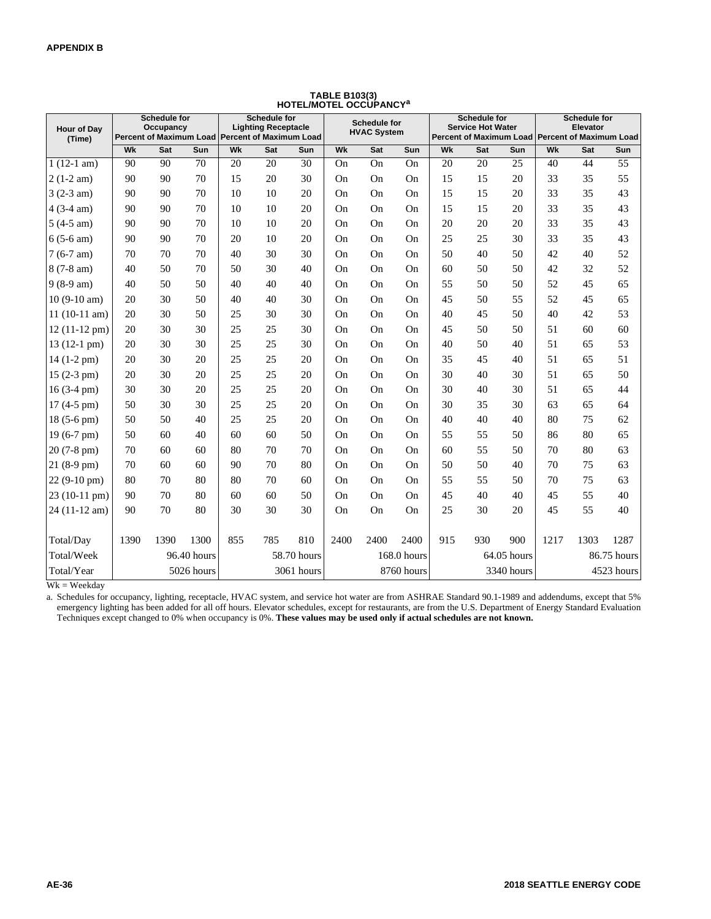| <b>Hour of Dav</b><br>(Time) |      | <b>Schedule for</b><br>Occupancy |             |     | <b>Schedule for</b><br><b>Lighting Receptacle</b><br>Percent of Maximum Load Percent of Maximum Load |             |      | <b>Schedule for</b><br><b>HVAC System</b> |             |     | <b>Schedule for</b><br><b>Service Hot Water</b><br>Percent of Maximum Load Percent of Maximum Load |             |      | <b>Schedule for</b><br>Elevator |             |
|------------------------------|------|----------------------------------|-------------|-----|------------------------------------------------------------------------------------------------------|-------------|------|-------------------------------------------|-------------|-----|----------------------------------------------------------------------------------------------------|-------------|------|---------------------------------|-------------|
|                              | Wk   | Sat                              | Sun         | Wk  | Sat                                                                                                  | Sun         | Wk   | Sat                                       | Sun         | Wk  | Sat                                                                                                | Sun         | Wk   | Sat                             | Sun         |
| $1(12-1 am)$                 | 90   | 90                               | 70          | 20  | 20                                                                                                   | 30          | On   | On                                        | On          | 20  | 20                                                                                                 | 25          | 40   | 44                              | 55          |
| $2(1-2 am)$                  | 90   | 90                               | 70          | 15  | 20                                                                                                   | 30          | On   | On                                        | On          | 15  | 15                                                                                                 | 20          | 33   | 35                              | 55          |
| $3(2-3 am)$                  | 90   | 90                               | 70          | 10  | 10                                                                                                   | 20          | On   | On                                        | On          | 15  | 15                                                                                                 | 20          | 33   | 35                              | 43          |
| $4(3-4 am)$                  | 90   | 90                               | 70          | 10  | 10                                                                                                   | 20          | On   | On                                        | On          | 15  | 15                                                                                                 | 20          | 33   | 35                              | 43          |
| $5(4-5 am)$                  | 90   | 90                               | 70          | 10  | 10                                                                                                   | 20          | On   | On                                        | On          | 20  | 20                                                                                                 | 20          | 33   | 35                              | 43          |
| $6(5-6 am)$                  | 90   | 90                               | 70          | 20  | 10                                                                                                   | 20          | On   | On                                        | On          | 25  | 25                                                                                                 | 30          | 33   | 35                              | 43          |
| $7(6-7 am)$                  | 70   | 70                               | 70          | 40  | 30                                                                                                   | 30          | On   | On                                        | On          | 50  | 40                                                                                                 | 50          | 42   | 40                              | 52          |
| $8(7-8 am)$                  | 40   | 50                               | 70          | 50  | 30                                                                                                   | 40          | On   | On                                        | On          | 60  | 50                                                                                                 | 50          | 42   | 32                              | 52          |
| $9(8-9 am)$                  | 40   | 50                               | 50          | 40  | 40                                                                                                   | 40          | On   | On                                        | On          | 55  | 50                                                                                                 | 50          | 52   | 45                              | 65          |
| $10(9-10 am)$                | 20   | 30                               | 50          | 40  | 40                                                                                                   | 30          | On   | On                                        | On          | 45  | 50                                                                                                 | 55          | 52   | 45                              | 65          |
| $11(10-11 am)$               | 20   | 30                               | 50          | 25  | 30                                                                                                   | 30          | On   | On                                        | On          | 40  | 45                                                                                                 | 50          | 40   | 42                              | 53          |
| $12(11-12 \text{ pm})$       | 20   | 30                               | 30          | 25  | 25                                                                                                   | 30          | On   | On                                        | On          | 45  | 50                                                                                                 | 50          | 51   | 60                              | 60          |
| $13(12-1)$ pm $)$            | 20   | 30                               | 30          | 25  | 25                                                                                                   | 30          | On   | On                                        | On          | 40  | 50                                                                                                 | 40          | 51   | 65                              | 53          |
| $14(1-2)$ pm)                | 20   | 30                               | 20          | 25  | 25                                                                                                   | 20          | On   | On                                        | On          | 35  | 45                                                                                                 | 40          | 51   | 65                              | 51          |
| $15(2-3 pm)$                 | 20   | 30                               | 20          | 25  | 25                                                                                                   | 20          | On   | On                                        | On          | 30  | 40                                                                                                 | 30          | 51   | 65                              | 50          |
| $16(3-4)$ pm)                | 30   | 30                               | 20          | 25  | 25                                                                                                   | 20          | On   | On                                        | On          | 30  | 40                                                                                                 | 30          | 51   | 65                              | 44          |
| $17(4-5)$ pm)                | 50   | 30                               | 30          | 25  | 25                                                                                                   | 20          | On   | On                                        | On          | 30  | 35                                                                                                 | 30          | 63   | 65                              | 64          |
| $18(5-6)$ pm $)$             | 50   | 50                               | 40          | 25  | 25                                                                                                   | 20          | On   | On                                        | On          | 40  | 40                                                                                                 | 40          | 80   | 75                              | 62          |
| $19(6-7)$ pm)                | 50   | 60                               | 40          | 60  | 60                                                                                                   | 50          | On   | On                                        | On          | 55  | 55                                                                                                 | 50          | 86   | 80                              | 65          |
| 20 (7-8 pm)                  | 70   | 60                               | 60          | 80  | 70                                                                                                   | 70          | On   | On                                        | On          | 60  | 55                                                                                                 | 50          | 70   | 80                              | 63          |
| 21 (8-9 pm)                  | 70   | 60                               | 60          | 90  | 70                                                                                                   | 80          | On   | On                                        | On          | 50  | 50                                                                                                 | 40          | 70   | 75                              | 63          |
| $22(9-10)$ pm)               | 80   | 70                               | 80          | 80  | 70                                                                                                   | 60          | On   | On                                        | On          | 55  | 55                                                                                                 | 50          | 70   | 75                              | 63          |
| $23(10-11)$ pm)              | 90   | 70                               | 80          | 60  | 60                                                                                                   | 50          | On   | On                                        | On          | 45  | 40                                                                                                 | 40          | 45   | 55                              | 40          |
| 24 (11-12 am)                | 90   | 70                               | 80          | 30  | 30                                                                                                   | 30          | On   | On                                        | On          | 25  | 30                                                                                                 | 20          | 45   | 55                              | 40          |
|                              |      |                                  |             |     |                                                                                                      |             |      |                                           |             |     |                                                                                                    |             |      |                                 |             |
| Total/Day                    | 1390 | 1390                             | 1300        | 855 | 785                                                                                                  | 810         | 2400 | 2400                                      | 2400        | 915 | 930                                                                                                | 900         | 1217 | 1303                            | 1287        |
| Total/Week                   |      |                                  | 96.40 hours |     |                                                                                                      | 58.70 hours |      |                                           | 168.0 hours |     |                                                                                                    | 64.05 hours |      |                                 | 86.75 hours |
| Total/Year                   |      |                                  | 5026 hours  |     |                                                                                                      | 3061 hours  |      |                                           | 8760 hours  |     |                                                                                                    | 3340 hours  |      |                                 | 4523 hours  |

## **TABLE B103(3) HOTEL/MOTEL OCCUPANCY<sup>a</sup>**

 $Wk = Weekday$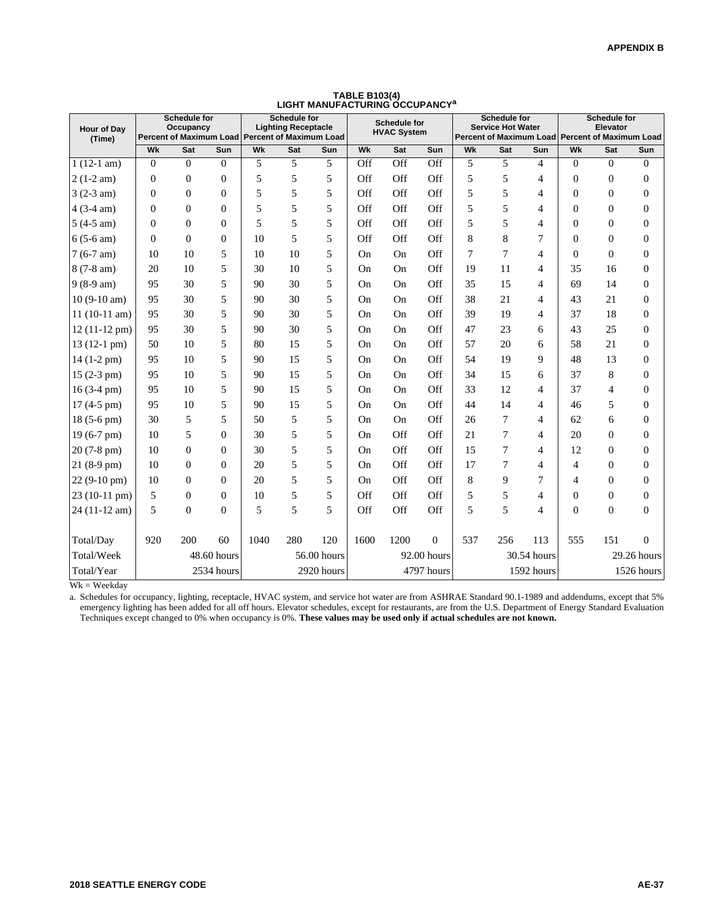| Hour of Day<br>(Time)  |                  | Schedule for<br>Occupancy<br>Percent of Maximum Load Percent of Maximum Load |                |      | <b>Schedule for</b><br><b>Lighting Receptacle</b> |             |           | <b>Schedule for</b><br><b>HVAC System</b> |              |                | <b>Schedule for</b><br><b>Service Hot Water</b><br>Percent of Maximum Load Percent of Maximum Load |                |                  | Schedule for<br>Elevator |                  |
|------------------------|------------------|------------------------------------------------------------------------------|----------------|------|---------------------------------------------------|-------------|-----------|-------------------------------------------|--------------|----------------|----------------------------------------------------------------------------------------------------|----------------|------------------|--------------------------|------------------|
|                        | Wk               | Sat                                                                          | Sun            | Wk   | Sat                                               | Sun         | Wk        | Sat                                       | Sun          | Wk             | Sat                                                                                                | Sun            | Wk               | Sat                      | Sun              |
| $1(12-1 am)$           | $\overline{0}$   | $\overline{0}$                                                               | $\overline{0}$ | 5    | 5                                                 | 5           | Off       | Off                                       | Off          | 5              | 5                                                                                                  | $\overline{4}$ | $\overline{0}$   | $\overline{0}$           | $\mathbf{0}$     |
| $2(1-2 am)$            | $\boldsymbol{0}$ | $\boldsymbol{0}$                                                             | $\overline{0}$ | 5    | 5                                                 | 5           | Off       | Off                                       | Off          | 5              | 5                                                                                                  | 4              | $\overline{0}$   | $\boldsymbol{0}$         | $\overline{0}$   |
| $3(2-3 am)$            | $\theta$         | $\boldsymbol{0}$                                                             | $\Omega$       | 5    | 5                                                 | 5           | Off       | Off                                       | Off          | 5              | 5                                                                                                  | 4              | $\Omega$         | $\boldsymbol{0}$         | $\overline{0}$   |
| $4(3-4 am)$            | $\Omega$         | $\Omega$                                                                     | $\Omega$       | 5    | 5                                                 | 5           | Off       | Off                                       | Off          | 5              | 5                                                                                                  | 4              | $\Omega$         | $\theta$                 | $\mathbf{0}$     |
| $5(4-5 am)$            | $\theta$         | $\theta$                                                                     | $\Omega$       | 5    | 5                                                 | 5           | Off       | Off                                       | Off          | 5              | 5                                                                                                  | 4              | $\theta$         | $\overline{0}$           | $\overline{0}$   |
| $6(5-6 am)$            | $\theta$         | $\boldsymbol{0}$                                                             | $\theta$       | 10   | 5                                                 | 5           | Off       | Off                                       | Off          | 8              | 8                                                                                                  | 7              | $\Omega$         | $\theta$                 | $\overline{0}$   |
| $7(6-7 am)$            | 10               | 10                                                                           | 5              | 10   | 10                                                | 5           | On        | On                                        | Off          | $\overline{7}$ | 7                                                                                                  | 4              | $\overline{0}$   | $\theta$                 | $\overline{0}$   |
| $8(7-8 am)$            | 20               | 10                                                                           | 5              | 30   | 10                                                | 5           | <b>On</b> | <b>On</b>                                 | Off          | 19             | 11                                                                                                 | $\overline{4}$ | 35               | 16                       | $\overline{0}$   |
| $9(8-9 am)$            | 95               | 30                                                                           | 5              | 90   | 30                                                | 5           | <b>On</b> | <b>On</b>                                 | Off          | 35             | 15                                                                                                 | 4              | 69               | 14                       | $\Omega$         |
| $10(9-10 am)$          | 95               | 30                                                                           | 5              | 90   | 30                                                | 5           | <b>On</b> | <b>On</b>                                 | Off          | 38             | 21                                                                                                 | 4              | 43               | 21                       | $\mathbf{0}$     |
| $11(10-11 am)$         | 95               | 30                                                                           | 5              | 90   | 30                                                | 5           | On        | <b>On</b>                                 | Off          | 39             | 19                                                                                                 | 4              | 37               | 18                       | $\overline{0}$   |
| $12(11-12 \text{ pm})$ | 95               | 30                                                                           | 5              | 90   | 30                                                | 5           | <b>On</b> | <b>On</b>                                 | Off          | 47             | 23                                                                                                 | 6              | 43               | 25                       | $\overline{0}$   |
| 13 (12-1 pm)           | 50               | 10                                                                           | 5              | 80   | 15                                                | 5           | <b>On</b> | <b>On</b>                                 | Off          | 57             | 20                                                                                                 | 6              | 58               | 21                       | $\overline{0}$   |
| $14(1-2 pm)$           | 95               | 10                                                                           | 5              | 90   | 15                                                | 5           | <b>On</b> | <b>On</b>                                 | Off          | 54             | 19                                                                                                 | 9              | 48               | 13                       | $\Omega$         |
| 15 (2-3 pm)            | 95               | 10                                                                           | 5              | 90   | 15                                                | 5           | <b>On</b> | <b>On</b>                                 | Off          | 34             | 15                                                                                                 | 6              | 37               | 8                        | $\boldsymbol{0}$ |
| $16(3-4)$ pm)          | 95               | 10                                                                           | 5              | 90   | 15                                                | 5           | <b>On</b> | <b>On</b>                                 | Off          | 33             | 12                                                                                                 | 4              | 37               | $\overline{4}$           | $\Omega$         |
| 17 (4-5 pm)            | 95               | 10                                                                           | 5              | 90   | 15                                                | 5           | <b>On</b> | <b>On</b>                                 | Off          | 44             | 14                                                                                                 | 4              | 46               | 5                        | $\overline{0}$   |
| 18 (5-6 pm)            | 30               | 5                                                                            | 5              | 50   | 5                                                 | 5           | On        | <b>On</b>                                 | Off          | 26             | 7                                                                                                  | $\overline{4}$ | 62               | 6                        | $\overline{0}$   |
| 19 (6-7 pm)            | 10               | 5                                                                            | $\theta$       | 30   | 5                                                 | 5           | On        | Off                                       | Off          | 21             | 7                                                                                                  | $\overline{4}$ | 20               | $\overline{0}$           | $\Omega$         |
| 20 (7-8 pm)            | 10               | $\overline{0}$                                                               | $\Omega$       | 30   | 5                                                 | 5           | <b>On</b> | Off                                       | Off          | 15             | 7                                                                                                  | 4              | 12               | $\boldsymbol{0}$         | $\boldsymbol{0}$ |
| $21(8-9)$ pm)          | 10               | $\Omega$                                                                     | $\Omega$       | 20   | 5                                                 | 5           | <b>On</b> | Off                                       | Off          | 17             | 7                                                                                                  | 4              | 4                | $\theta$                 | $\Omega$         |
| 22 (9-10 pm)           | 10               | $\Omega$                                                                     | $\Omega$       | 20   | 5                                                 | 5           | <b>On</b> | Off                                       | Off          | 8              | 9                                                                                                  | 7              | 4                | $\boldsymbol{0}$         | $\Omega$         |
| 23 (10-11 pm)          | 5                | $\theta$                                                                     | $\Omega$       | 10   | 5                                                 | 5           | Off       | Off                                       | Off          | 5              | 5                                                                                                  | $\overline{4}$ | $\Omega$         | $\boldsymbol{0}$         | $\Omega$         |
| 24 (11-12 am)          | 5                | $\overline{0}$                                                               | $\overline{0}$ | 5    | 5                                                 | 5           | Off       | Off                                       | Off          | 5              | 5                                                                                                  | $\overline{4}$ | $\boldsymbol{0}$ | $\boldsymbol{0}$         | $\overline{0}$   |
|                        |                  |                                                                              |                |      |                                                   |             |           |                                           |              |                |                                                                                                    |                |                  |                          |                  |
| Total/Day              | 920              | 200                                                                          | 60             | 1040 | 280                                               | 120         | 1600      | 1200                                      | $\mathbf{0}$ | 537            | 256                                                                                                | 113            | 555              | 151                      | $\Omega$         |
| Total/Week             |                  | 48.60 hours                                                                  |                |      |                                                   | 56.00 hours |           |                                           | 92.00 hours  |                |                                                                                                    | 30.54 hours    |                  |                          | 29.26 hours      |
| Total/Year             |                  |                                                                              | 2534 hours     |      |                                                   | 2920 hours  |           |                                           | 4797 hours   |                |                                                                                                    | 1592 hours     |                  |                          | 1526 hours       |

**TABLE B103(4) LIGHT MANUFACTURING OCCUPANCY<sup>a</sup>**

 $Wk = Weekday$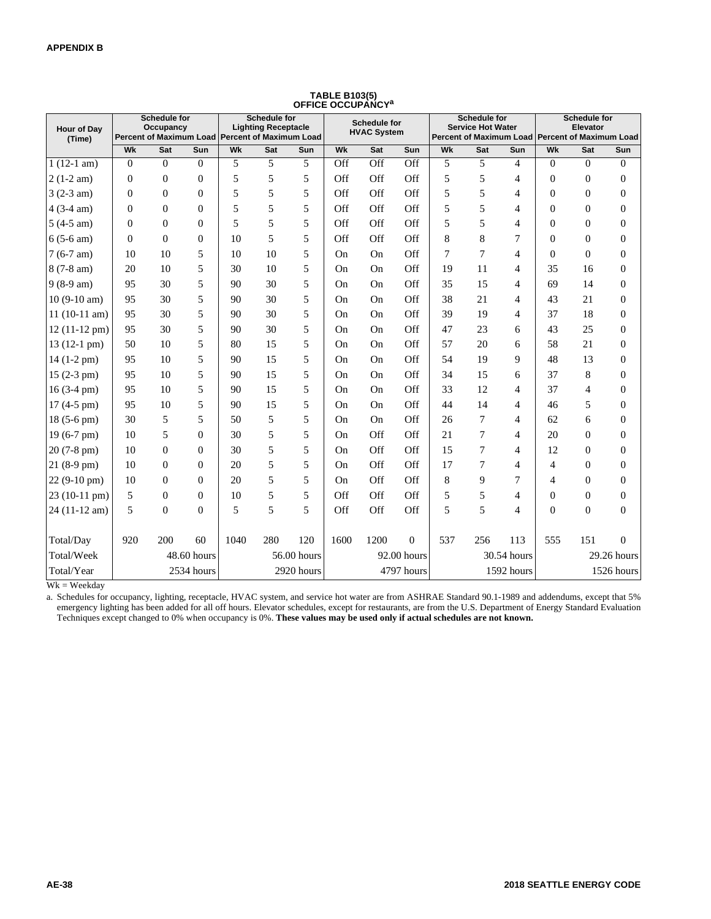| Hour of Day<br>(Time)  | Schedule for<br>Occupancy<br>Percent of Maximum Load Percent of Maximum Load<br>Wk<br><b>Sat</b><br>Sun |                |             |      | <b>Schedule for</b><br><b>Lighting Receptacle</b> |             |      | <b>Schedule for</b><br><b>HVAC System</b> |                |     | <b>Schedule for</b><br><b>Service Hot Water</b> |                | Percent of Maximum Load Percent of Maximum Load | <b>Schedule for</b><br><b>Elevator</b> |                  |
|------------------------|---------------------------------------------------------------------------------------------------------|----------------|-------------|------|---------------------------------------------------|-------------|------|-------------------------------------------|----------------|-----|-------------------------------------------------|----------------|-------------------------------------------------|----------------------------------------|------------------|
|                        |                                                                                                         |                |             | Wk   | Sat                                               | <b>Sun</b>  | Wk   | Sat                                       | Sun            | Wk  | <b>Sat</b>                                      | Sun            | Wk                                              | Sat                                    | Sun              |
| $1(12-1 am)$           | $\theta$                                                                                                | $\Omega$       | $\Omega$    | 5    | 5                                                 | 5           | Off  | Off                                       | Off            | 5   | 5                                               | $\overline{4}$ | $\Omega$                                        | $\overline{0}$                         | $\overline{0}$   |
| $2(1-2 am)$            | $\Omega$                                                                                                | $\Omega$       | $\Omega$    | 5    | 5                                                 | 5           | Off  | Off                                       | Off            | 5   | 5                                               | $\overline{4}$ | $\theta$                                        | $\theta$                               | $\boldsymbol{0}$ |
| $3(2-3 am)$            | $\mathbf{0}$                                                                                            | $\overline{0}$ | $\theta$    | 5    | 5                                                 | 5           | Off  | Off                                       | Off            | 5   | 5                                               | 4              | $\overline{0}$                                  | $\theta$                               | $\overline{0}$   |
| $4(3-4 am)$            | $\mathbf{0}$                                                                                            | $\theta$       | $\Omega$    | 5    | 5                                                 | 5           | Off  | Off                                       | Off            | 5   | 5                                               | 4              | $\overline{0}$                                  | $\boldsymbol{0}$                       | $\boldsymbol{0}$ |
| $5(4-5 am)$            | $\Omega$                                                                                                | $\theta$       | $\Omega$    | 5    | 5                                                 | 5           | Off  | Off                                       | Off            | 5   | 5                                               | 4              | $\Omega$                                        | $\mathbf{0}$                           | $\boldsymbol{0}$ |
| $6(5-6 am)$            | $\Omega$                                                                                                | $\Omega$       | $\Omega$    | 10   | 5                                                 | 5           | Off  | Off                                       | Off            | 8   | 8                                               | 7              | $\Omega$                                        | $\boldsymbol{0}$                       | $\boldsymbol{0}$ |
| $7(6-7 am)$            | 10                                                                                                      | 10             | 5           | 10   | 10                                                | 5           | On   | On                                        | Off            | 7   | $\overline{7}$                                  | $\overline{4}$ | $\theta$                                        | $\overline{0}$                         | $\boldsymbol{0}$ |
| $8(7-8 am)$            | 20                                                                                                      | 10             | 5           | 30   | 10                                                | 5           | On   | On                                        | Off            | 19  | 11                                              | 4              | 35                                              | 16                                     | $\boldsymbol{0}$ |
| $9(8-9 am)$            | 95                                                                                                      | 30             | 5           | 90   | 30                                                | 5           | On   | On                                        | Off            | 35  | 15                                              | 4              | 69                                              | 14                                     | $\boldsymbol{0}$ |
| $10(9-10 am)$          | 95                                                                                                      | 30             | 5           | 90   | 30                                                | 5           | On   | On                                        | Off            | 38  | 21                                              | $\overline{4}$ | 43                                              | 21                                     | $\boldsymbol{0}$ |
| $11(10-11 am)$         | 95                                                                                                      | 30             | 5           | 90   | 30                                                | 5           | On   | On                                        | Off            | 39  | 19                                              | 4              | 37                                              | 18                                     | $\boldsymbol{0}$ |
| $12(11-12 \text{ pm})$ | 95                                                                                                      | 30             | 5           | 90   | 30                                                | 5           | On   | On                                        | Off            | 47  | 23                                              | 6              | 43                                              | 25                                     | $\boldsymbol{0}$ |
| $13(12-1)$ pm $)$      | 50                                                                                                      | 10             | 5           | 80   | 15                                                | 5           | On   | On                                        | Off            | 57  | 20                                              | 6              | 58                                              | 21                                     | $\boldsymbol{0}$ |
| $14(1-2 pm)$           | 95                                                                                                      | 10             | 5           | 90   | 15                                                | 5           | On   | On                                        | Off            | 54  | 19                                              | 9              | 48                                              | 13                                     | $\boldsymbol{0}$ |
| $15(2-3 pm)$           | 95                                                                                                      | 10             | 5           | 90   | 15                                                | 5           | On   | On                                        | Off            | 34  | 15                                              | 6              | 37                                              | 8                                      | $\boldsymbol{0}$ |
| $16(3-4)$ pm)          | 95                                                                                                      | 10             | 5           | 90   | 15                                                | 5           | On   | On                                        | Off            | 33  | 12                                              | 4              | 37                                              | 4                                      | 0                |
| $17(4-5)$ pm)          | 95                                                                                                      | 10             | 5           | 90   | 15                                                | 5           | On   | On                                        | Off            | 44  | 14                                              | $\overline{4}$ | 46                                              | 5                                      | $\boldsymbol{0}$ |
| $18(5-6)$ pm)          | 30                                                                                                      | 5              | 5           | 50   | 5                                                 | 5           | On   | On                                        | Off            | 26  | 7                                               | 4              | 62                                              | 6                                      | $\boldsymbol{0}$ |
| $19(6-7)$ pm)          | 10                                                                                                      | 5              | $\theta$    | 30   | 5                                                 | 5           | On   | Off                                       | Off            | 21  | 7                                               | 4              | 20                                              | $\boldsymbol{0}$                       | $\boldsymbol{0}$ |
| 20 (7-8 pm)            | 10                                                                                                      | $\Omega$       | $\Omega$    | 30   | 5                                                 | 5           | On   | Off                                       | Off            | 15  | $\overline{7}$                                  | 4              | 12                                              | $\mathbf{0}$                           | $\boldsymbol{0}$ |
| $21(8-9)$ pm)          | 10                                                                                                      | $\Omega$       | $\Omega$    | 20   | 5                                                 | 5           | On   | Off                                       | Off            | 17  | $\overline{7}$                                  | 4              | 4                                               | $\boldsymbol{0}$                       | $\boldsymbol{0}$ |
| 22 (9-10 pm)           | 10                                                                                                      | $\Omega$       | $\Omega$    | 20   | 5                                                 | 5           | On   | Off                                       | Off            | 8   | 9                                               | 7              | $\overline{4}$                                  | $\theta$                               | $\boldsymbol{0}$ |
| $23(10-11)$ pm)        | 5                                                                                                       | $\Omega$       | $\Omega$    | 10   | 5                                                 | 5           | Off  | Off                                       | Off            | 5   | 5                                               | 4              | $\mathbf{0}$                                    | $\boldsymbol{0}$                       | $\boldsymbol{0}$ |
| 24 (11-12 am)          | 5                                                                                                       | $\overline{0}$ | $\theta$    | 5    | 5                                                 | 5           | Off  | Off                                       | Off            | 5   | 5                                               | 4              | $\overline{0}$                                  | $\theta$                               | $\boldsymbol{0}$ |
| Total/Day              | 920                                                                                                     | 200            | 60          | 1040 | 280                                               | 120         | 1600 | 1200                                      | $\overline{0}$ | 537 | 256                                             | 113            | 555                                             | 151                                    | $\overline{0}$   |
| Total/Week             |                                                                                                         |                | 48.60 hours |      |                                                   | 56.00 hours |      |                                           | 92.00 hours    |     |                                                 | 30.54 hours    |                                                 |                                        | 29.26 hours      |
| Total/Year             |                                                                                                         |                | 2534 hours  |      |                                                   | 2920 hours  |      |                                           | 4797 hours     |     |                                                 | 1592 hours     |                                                 |                                        | 1526 hours       |

## **TABLE B103(5) OFFICE OCCUPANCY<sup>a</sup>**

 $Wk = Weekday$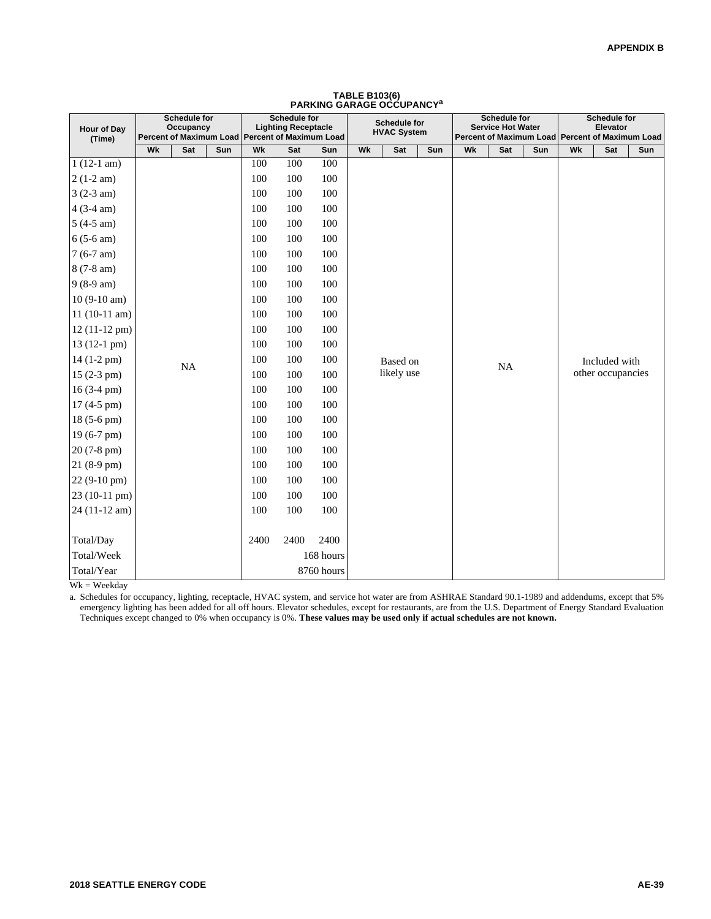| Hour of Day<br>(Time)  |    | Schedule for<br><b>Occupancy</b> |     | Percent of Maximum Load Percent of Maximum Load | Schedule for<br><b>Lighting Receptacle</b> |            |    | <b>Schedule for</b><br><b>HVAC System</b> |     |    | Schedule for<br><b>Service Hot Water</b> | Percent of Maximum Load Percent of Maximum Load |    | <b>Schedule for</b><br>Elevator |     |
|------------------------|----|----------------------------------|-----|-------------------------------------------------|--------------------------------------------|------------|----|-------------------------------------------|-----|----|------------------------------------------|-------------------------------------------------|----|---------------------------------|-----|
|                        | Wk | Sat                              | Sun | Wk                                              | Sat                                        | Sun        | Wk | Sat                                       | Sun | Wk | Sat                                      | Sun                                             | Wk | Sat                             | Sun |
| $1(12-1 am)$           |    |                                  |     | 100                                             | 100                                        | 100        |    |                                           |     |    |                                          |                                                 |    |                                 |     |
| $2(1-2 am)$            |    |                                  |     | 100                                             | 100                                        | 100        |    |                                           |     |    |                                          |                                                 |    |                                 |     |
| $3(2-3 am)$            |    |                                  |     | 100                                             | 100                                        | 100        |    |                                           |     |    |                                          |                                                 |    |                                 |     |
| $4(3-4 am)$            |    |                                  |     | 100                                             | 100                                        | 100        |    |                                           |     |    |                                          |                                                 |    |                                 |     |
| $5(4-5 am)$            |    |                                  |     | 100                                             | 100                                        | 100        |    |                                           |     |    |                                          |                                                 |    |                                 |     |
| $6(5-6 am)$            |    |                                  |     | 100                                             | 100                                        | 100        |    |                                           |     |    |                                          |                                                 |    |                                 |     |
| $7(6-7 am)$            |    |                                  |     | 100                                             | 100                                        | 100        |    |                                           |     |    |                                          |                                                 |    |                                 |     |
| 8 (7-8 am)             |    |                                  |     | 100                                             | 100                                        | 100        |    |                                           |     |    |                                          |                                                 |    |                                 |     |
| $9(8-9 am)$            |    |                                  |     | 100                                             | 100                                        | 100        |    |                                           |     |    |                                          |                                                 |    |                                 |     |
| $10(9-10 am)$          |    |                                  |     | 100                                             | 100                                        | 100        |    |                                           |     |    |                                          |                                                 |    |                                 |     |
| $11(10-11 am)$         |    |                                  |     | 100                                             | 100                                        | 100        |    |                                           |     |    |                                          |                                                 |    |                                 |     |
| $12(11-12 \text{ pm})$ |    |                                  |     | 100                                             | 100                                        | 100        |    |                                           |     |    |                                          |                                                 |    |                                 |     |
| $13(12-1)$ pm $)$      |    |                                  |     | 100                                             | 100                                        | 100        |    |                                           |     |    |                                          |                                                 |    |                                 |     |
| $14(1-2 pm)$           |    | NA                               |     | 100                                             | 100                                        | 100        |    | Based on                                  |     |    | NA                                       |                                                 |    | Included with                   |     |
| $15(2-3 pm)$           |    |                                  |     | 100                                             | 100                                        | 100        |    | likely use                                |     |    |                                          |                                                 |    | other occupancies               |     |
| $16(3-4)$ pm)          |    |                                  |     | 100                                             | 100                                        | 100        |    |                                           |     |    |                                          |                                                 |    |                                 |     |
| 17 (4-5 pm)            |    |                                  |     | 100                                             | 100                                        | 100        |    |                                           |     |    |                                          |                                                 |    |                                 |     |
| 18 (5-6 pm)            |    |                                  |     | 100                                             | 100                                        | 100        |    |                                           |     |    |                                          |                                                 |    |                                 |     |
| $19(6-7)$ pm)          |    |                                  |     | 100                                             | 100                                        | 100        |    |                                           |     |    |                                          |                                                 |    |                                 |     |
| $20(7-8)$ pm)          |    |                                  |     | 100                                             | 100                                        | 100        |    |                                           |     |    |                                          |                                                 |    |                                 |     |
| 21 (8-9 pm)            |    |                                  |     | 100                                             | 100                                        | 100        |    |                                           |     |    |                                          |                                                 |    |                                 |     |
| 22 (9-10 pm)           |    |                                  |     | 100                                             | 100                                        | 100        |    |                                           |     |    |                                          |                                                 |    |                                 |     |
| 23 (10-11 pm)          |    |                                  |     | 100                                             | 100                                        | 100        |    |                                           |     |    |                                          |                                                 |    |                                 |     |
| 24 (11-12 am)          |    |                                  |     | 100                                             | 100                                        | 100        |    |                                           |     |    |                                          |                                                 |    |                                 |     |
|                        |    |                                  |     |                                                 |                                            |            |    |                                           |     |    |                                          |                                                 |    |                                 |     |
| Total/Day              |    |                                  |     | 2400                                            | 2400                                       | 2400       |    |                                           |     |    |                                          |                                                 |    |                                 |     |
| Total/Week             |    |                                  |     |                                                 |                                            | 168 hours  |    |                                           |     |    |                                          |                                                 |    |                                 |     |
| Total/Year             |    |                                  |     |                                                 |                                            | 8760 hours |    |                                           |     |    |                                          |                                                 |    |                                 |     |

## **TABLE B103(6) PARKING GARAGE OCCUPANCY<sup>a</sup>**

 $Wk = Weekday$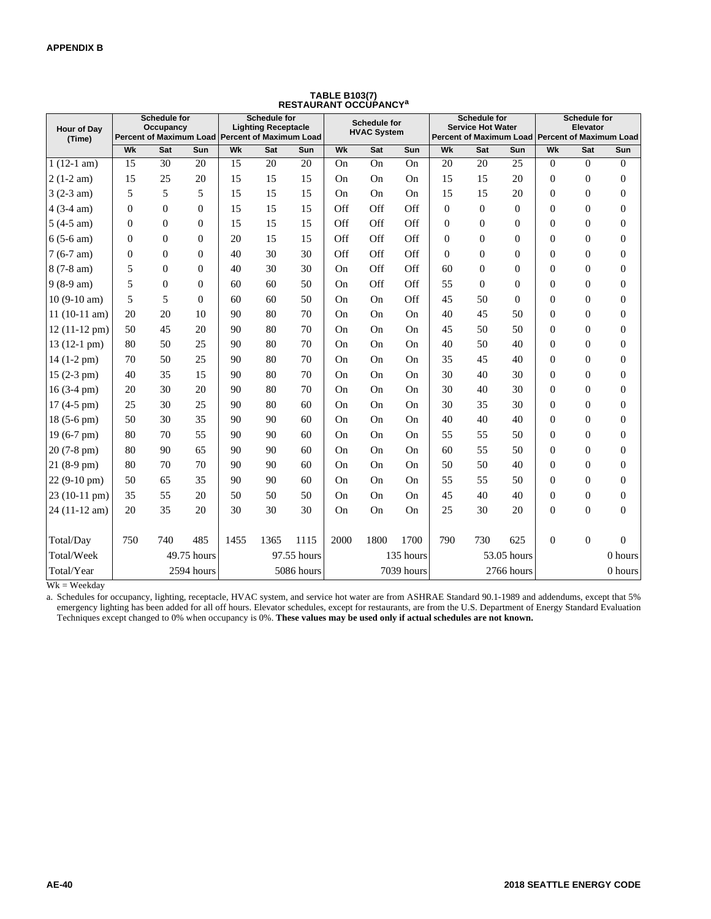| <b>Hour of Dav</b><br>(Time) |                | Schedule for<br>Occupancy<br>Percent of Maximum Load Percent of Maximum Load |             |      | <b>Schedule for</b><br><b>Lighting Receptacle</b> |             |      | Schedule for<br><b>HVAC System</b> |            |                | <b>Schedule for</b><br><b>Service Hot Water</b> |             |                | Schedule for<br>Elevator | Percent of Maximum Load Percent of Maximum Load |
|------------------------------|----------------|------------------------------------------------------------------------------|-------------|------|---------------------------------------------------|-------------|------|------------------------------------|------------|----------------|-------------------------------------------------|-------------|----------------|--------------------------|-------------------------------------------------|
|                              | Wk             | Sat                                                                          | Sun         | Wk   | Sat                                               | Sun         | Wk   | Sat                                | Sun        | Wk             | Sat                                             | Sun         | Wk             | Sat                      | Sun                                             |
| $1(12-1 am)$                 | 15             | 30                                                                           | 20          | 15   | 20                                                | 20          | On   | On                                 | On         | 20             | 20                                              | 25          | $\overline{0}$ | $\overline{0}$           | $\mathbf{0}$                                    |
| $2(1-2 am)$                  | 15             | 25                                                                           | 20          | 15   | 15                                                | 15          | On   | On                                 | On         | 15             | 15                                              | 20          | $\overline{0}$ | $\boldsymbol{0}$         | 0                                               |
| $3(2-3 am)$                  | 5              | 5                                                                            | 5           | 15   | 15                                                | 15          | On   | On                                 | On         | 15             | 15                                              | 20          | $\overline{0}$ | $\boldsymbol{0}$         | $\boldsymbol{0}$                                |
| $4(3-4 am)$                  | $\overline{0}$ | $\mathbf{0}$                                                                 | $\theta$    | 15   | 15                                                | 15          | Off  | Off                                | Off        | $\overline{0}$ | $\overline{0}$                                  | $\Omega$    | $\overline{0}$ | $\mathbf{0}$             | $\boldsymbol{0}$                                |
| $5(4-5 am)$                  | $\overline{0}$ | $\Omega$                                                                     | $\Omega$    | 15   | 15                                                | 15          | Off  | Off                                | Off        | $\mathbf{0}$   | $\mathbf{0}$                                    | $\Omega$    | $\Omega$       | $\boldsymbol{0}$         | $\boldsymbol{0}$                                |
| $6(5-6 am)$                  | $\Omega$       | $\Omega$                                                                     | $\Omega$    | 20   | 15                                                | 15          | Off  | Off                                | Off        | $\Omega$       | $\theta$                                        | $\Omega$    | $\Omega$       | $\mathbf{0}$             | $\boldsymbol{0}$                                |
| $7(6-7 am)$                  | $\mathbf{0}$   | $\Omega$                                                                     | $\theta$    | 40   | 30                                                | 30          | Off  | Off                                | Off        | $\overline{0}$ | $\Omega$                                        | $\Omega$    | $\Omega$       | $\boldsymbol{0}$         | $\boldsymbol{0}$                                |
| $8(7-8 am)$                  | 5              | $\Omega$                                                                     | $\Omega$    | 40   | 30                                                | 30          | On   | Off                                | Off        | 60             | $\Omega$                                        | $\Omega$    | $\Omega$       | $\boldsymbol{0}$         | $\mathbf{0}$                                    |
| $9(8-9 am)$                  | 5              | $\mathbf{0}$                                                                 | $\Omega$    | 60   | 60                                                | 50          | On   | Off                                | Off        | 55             | $\overline{0}$                                  | $\Omega$    | $\theta$       | $\boldsymbol{0}$         | $\boldsymbol{0}$                                |
| $10(9-10 am)$                | 5              | 5                                                                            | $\Omega$    | 60   | 60                                                | 50          | On   | On                                 | Off        | 45             | 50                                              | $\Omega$    | $\Omega$       | $\boldsymbol{0}$         | $\boldsymbol{0}$                                |
| $11(10-11 am)$               | 20             | 20                                                                           | 10          | 90   | 80                                                | 70          | On   | On                                 | On         | 40             | 45                                              | 50          | $\theta$       | $\boldsymbol{0}$         | $\boldsymbol{0}$                                |
| $12(11-12 \text{ pm})$       | 50             | 45                                                                           | 20          | 90   | 80                                                | 70          | On   | On                                 | On         | 45             | 50                                              | 50          | $\theta$       | $\boldsymbol{0}$         | $\boldsymbol{0}$                                |
| 13 (12-1 pm)                 | 80             | 50                                                                           | 25          | 90   | 80                                                | 70          | On   | On                                 | On         | 40             | 50                                              | 40          | $\Omega$       | $\boldsymbol{0}$         | $\mathbf{0}$                                    |
| 14 (1-2 pm)                  | 70             | 50                                                                           | 25          | 90   | 80                                                | 70          | On   | On                                 | On         | 35             | 45                                              | 40          | $\theta$       | $\boldsymbol{0}$         | $\boldsymbol{0}$                                |
| $15(2-3 pm)$                 | 40             | 35                                                                           | 15          | 90   | 80                                                | 70          | On   | On                                 | On         | 30             | 40                                              | 30          | $\Omega$       | $\mathbf{0}$             | $\boldsymbol{0}$                                |
| $16(3-4)$ pm)                | 20             | 30                                                                           | 20          | 90   | 80                                                | 70          | On   | On                                 | On         | 30             | 40                                              | 30          | $\theta$       | $\boldsymbol{0}$         | $\boldsymbol{0}$                                |
| $17(4-5)$ pm)                | 25             | 30                                                                           | 25          | 90   | 80                                                | 60          | On   | On                                 | On         | 30             | 35                                              | 30          | $\Omega$       | $\boldsymbol{0}$         | $\boldsymbol{0}$                                |
| 18 (5-6 pm)                  | 50             | 30                                                                           | 35          | 90   | 90                                                | 60          | On   | On                                 | On         | 40             | 40                                              | 40          | $\theta$       | $\boldsymbol{0}$         | $\mathbf{0}$                                    |
| 19 (6-7 pm)                  | 80             | 70                                                                           | 55          | 90   | 90                                                | 60          | On   | On                                 | On         | 55             | 55                                              | 50          | $\overline{0}$ | $\boldsymbol{0}$         | $\boldsymbol{0}$                                |
| 20 (7-8 pm)                  | 80             | 90                                                                           | 65          | 90   | 90                                                | 60          | On   | On                                 | On         | 60             | 55                                              | 50          | $\theta$       | $\mathbf{0}$             | $\boldsymbol{0}$                                |
| $21(8-9)$ pm)                | 80             | 70                                                                           | 70          | 90   | 90                                                | 60          | On   | On                                 | On         | 50             | 50                                              | 40          | $\theta$       | $\boldsymbol{0}$         | $\boldsymbol{0}$                                |
| 22 (9-10 pm)                 | 50             | 65                                                                           | 35          | 90   | 90                                                | 60          | On   | On                                 | On         | 55             | 55                                              | 50          | $\theta$       | $\boldsymbol{0}$         | $\boldsymbol{0}$                                |
| 23 (10-11 pm)                | 35             | 55                                                                           | 20          | 50   | 50                                                | 50          | On   | On                                 | On         | 45             | 40                                              | 40          | $\theta$       | $\boldsymbol{0}$         | $\boldsymbol{0}$                                |
| 24 (11-12 am)                | 20             | 35                                                                           | 20          | 30   | 30                                                | 30          | On   | On                                 | On         | 25             | 30                                              | 20          | $\overline{0}$ | $\boldsymbol{0}$         | $\boldsymbol{0}$                                |
|                              |                |                                                                              |             |      |                                                   |             |      |                                    |            |                |                                                 |             |                |                          |                                                 |
| Total/Day                    | 750            | 740                                                                          | 485         | 1455 | 1365                                              | 1115        | 2000 | 1800                               | 1700       | 790            | 730                                             | 625         | $\overline{0}$ | $\mathbf{0}$             | $\overline{0}$                                  |
| Total/Week                   |                |                                                                              | 49.75 hours |      |                                                   | 97.55 hours |      |                                    | 135 hours  |                |                                                 | 53.05 hours |                |                          | 0 hours                                         |
| Total/Year                   |                |                                                                              | 2594 hours  |      |                                                   | 5086 hours  |      |                                    | 7039 hours |                |                                                 | 2766 hours  |                |                          | 0 hours                                         |

## **TABLE B103(7) RESTAURANT OCCUPANCY<sup>a</sup>**

 $Wk = Weekday$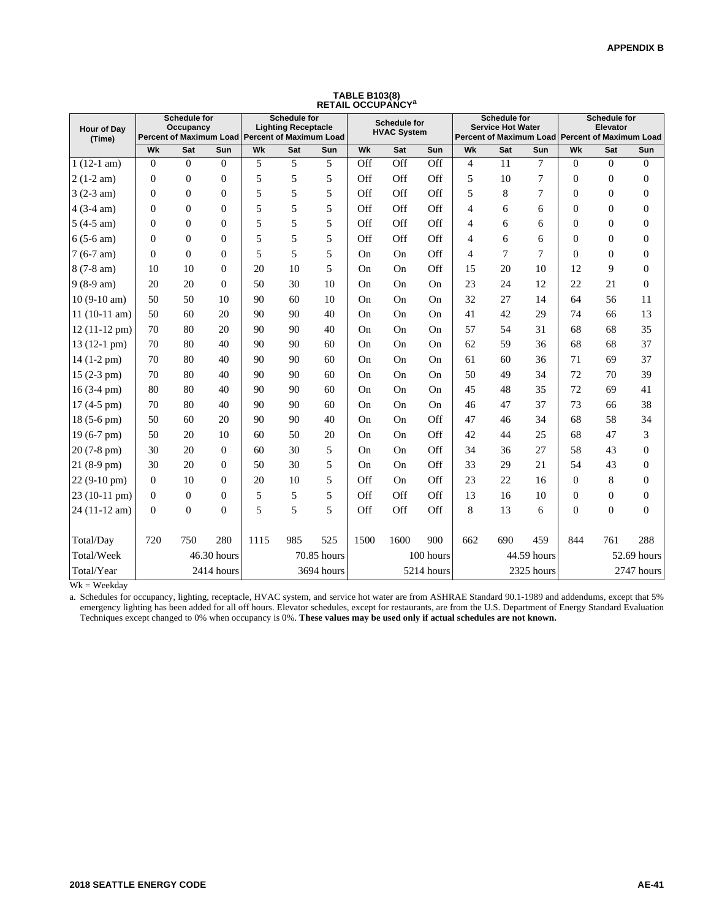| Hour of Day<br>(Time) |                | Schedule for<br>Occupancy |                | Percent of Maximum Load Percent of Maximum Load | <b>Schedule for</b><br><b>Lighting Receptacle</b> |             |           | <b>Schedule for</b><br><b>HVAC System</b> |            |                | <b>Schedule for</b><br><b>Service Hot Water</b> |             |                | <b>Schedule for</b><br>Elevator | Percent of Maximum Load Percent of Maximum Load |
|-----------------------|----------------|---------------------------|----------------|-------------------------------------------------|---------------------------------------------------|-------------|-----------|-------------------------------------------|------------|----------------|-------------------------------------------------|-------------|----------------|---------------------------------|-------------------------------------------------|
|                       | Wk             | Sat                       | Sun            | Wk                                              | Sat                                               | Sun         | Wk        | Sat                                       | Sun        | Wk             | Sat                                             | Sun         | Wk             | Sat                             | Sun                                             |
| $1(12-1 am)$          | $\overline{0}$ | $\overline{0}$            | $\Omega$       | 5                                               | 5                                                 | 5           | Off       | Off                                       | Off        | $\overline{4}$ | 11                                              | 7           | $\overline{0}$ | $\overline{0}$                  | $\mathbf{0}$                                    |
| $2(1-2 am)$           | $\overline{0}$ | $\boldsymbol{0}$          | $\overline{0}$ | 5                                               | 5                                                 | 5           | Off       | Off                                       | Off        | 5              | 10                                              | 7           | $\theta$       | $\boldsymbol{0}$                | $\mathbf{0}$                                    |
| $3(2-3 am)$           | $\overline{0}$ | $\boldsymbol{0}$          | $\Omega$       | 5                                               | 5                                                 | 5           | Off       | Off                                       | Off        | 5              | 8                                               | 7           | $\Omega$       | $\boldsymbol{0}$                | $\overline{0}$                                  |
| $4(3-4 am)$           | $\Omega$       | $\Omega$                  | $\Omega$       | 5                                               | 5                                                 | 5           | Off       | Off                                       | Off        | $\overline{4}$ | 6                                               | 6           | $\Omega$       | $\theta$                        | $\Omega$                                        |
| $5(4-5 am)$           | $\overline{0}$ | $\overline{0}$            | $\Omega$       | 5                                               | 5                                                 | 5           | Off       | Off                                       | Off        | $\overline{4}$ | 6                                               | 6           | $\theta$       | $\boldsymbol{0}$                | $\boldsymbol{0}$                                |
| $6(5-6 am)$           | $\theta$       | $\Omega$                  | $\Omega$       | 5                                               | 5                                                 | 5           | Off       | Off                                       | Off        | 4              | 6                                               | 6           | $\Omega$       | $\theta$                        | $\overline{0}$                                  |
| $7(6-7 am)$           | $\overline{0}$ | $\theta$                  | $\Omega$       | 5                                               | 5                                                 | 5           | <b>On</b> | <b>On</b>                                 | Off        | $\overline{4}$ | 7                                               | 7           | $\Omega$       | $\boldsymbol{0}$                | $\overline{0}$                                  |
| $8(7-8 am)$           | 10             | 10                        | $\Omega$       | 20                                              | 10                                                | 5           | <b>On</b> | <b>On</b>                                 | Off        | 15             | 20                                              | 10          | 12             | 9                               | $\Omega$                                        |
| $9(8-9 am)$           | 20             | 20                        | $\Omega$       | 50                                              | 30                                                | 10          | <b>On</b> | <b>On</b>                                 | On         | 23             | 24                                              | 12          | 22             | 21                              | $\theta$                                        |
| $10(9-10 am)$         | 50             | 50                        | 10             | 90                                              | 60                                                | 10          | <b>On</b> | On                                        | On         | 32             | 27                                              | 14          | 64             | 56                              | 11                                              |
| $11(10-11 am)$        | 50             | 60                        | 20             | 90                                              | 90                                                | 40          | <b>On</b> | <b>On</b>                                 | On         | 41             | 42                                              | 29          | 74             | 66                              | 13                                              |
| 12 (11-12 pm)         | 70             | 80                        | 20             | 90                                              | 90                                                | 40          | <b>On</b> | <b>On</b>                                 | On         | 57             | 54                                              | 31          | 68             | 68                              | 35                                              |
| 13 (12-1 pm)          | 70             | 80                        | 40             | 90                                              | 90                                                | 60          | On        | On                                        | On         | 62             | 59                                              | 36          | 68             | 68                              | 37                                              |
| 14 (1-2 pm)           | 70             | 80                        | 40             | 90                                              | 90                                                | 60          | <b>On</b> | <b>On</b>                                 | On         | 61             | 60                                              | 36          | 71             | 69                              | 37                                              |
| $15(2-3 pm)$          | 70             | 80                        | 40             | 90                                              | 90                                                | 60          | <b>On</b> | <b>On</b>                                 | On         | 50             | 49                                              | 34          | 72             | 70                              | 39                                              |
| $16(3-4)$ pm)         | 80             | 80                        | 40             | 90                                              | 90                                                | 60          | <b>On</b> | <b>On</b>                                 | On         | 45             | 48                                              | 35          | 72             | 69                              | 41                                              |
| $17(4-5)$ pm)         | 70             | 80                        | 40             | 90                                              | 90                                                | 60          | On        | On                                        | On         | 46             | 47                                              | 37          | 73             | 66                              | 38                                              |
| 18 (5-6 pm)           | 50             | 60                        | 20             | 90                                              | 90                                                | 40          | <b>On</b> | <b>On</b>                                 | Off        | 47             | 46                                              | 34          | 68             | 58                              | 34                                              |
| 19 (6-7 pm)           | 50             | 20                        | 10             | 60                                              | 50                                                | 20          | <b>On</b> | <b>On</b>                                 | Off        | 42             | 44                                              | 25          | 68             | 47                              | 3                                               |
| 20 (7-8 pm)           | 30             | 20                        | $\Omega$       | 60                                              | 30                                                | 5           | On        | <b>On</b>                                 | Off        | 34             | 36                                              | 27          | 58             | 43                              | $\theta$                                        |
| 21 (8-9 pm)           | 30             | 20                        | $\Omega$       | 50                                              | 30                                                | 5           | <b>On</b> | <b>On</b>                                 | Off        | 33             | 29                                              | 21          | 54             | 43                              | $\overline{0}$                                  |
| $22(9-10)$ pm)        | $\overline{0}$ | 10                        | $\Omega$       | 20                                              | 10                                                | 5           | Off       | <b>On</b>                                 | Off        | 23             | 22                                              | 16          | $\theta$       | 8                               | $\overline{0}$                                  |
| 23 (10-11 pm)         | $\overline{0}$ | $\Omega$                  | $\Omega$       | 5                                               | 5                                                 | 5           | Off       | Off                                       | Off        | 13             | 16                                              | 10          | $\overline{0}$ | $\boldsymbol{0}$                | $\overline{0}$                                  |
| 24 (11-12 am)         | $\theta$       | $\overline{0}$            | $\theta$       | 5                                               | 5                                                 | 5           | Off       | Off                                       | Off        | $\,8\,$        | 13                                              | 6           | $\overline{0}$ | $\boldsymbol{0}$                | $\Omega$                                        |
|                       |                |                           |                |                                                 |                                                   |             |           |                                           |            |                |                                                 |             |                |                                 |                                                 |
| Total/Day             | 720            | 750                       | 280            | 1115                                            | 985                                               | 525         | 1500      | 1600                                      | 900        | 662            | 690                                             | 459         | 844            | 761                             | 288                                             |
| Total/Week            |                | 46.30 hours               |                |                                                 |                                                   | 70.85 hours |           |                                           | 100 hours  |                |                                                 | 44.59 hours |                |                                 | 52.69 hours                                     |
| Total/Year            |                |                           | 2414 hours     |                                                 |                                                   | 3694 hours  |           |                                           | 5214 hours |                |                                                 | 2325 hours  |                |                                 | 2747 hours                                      |

**TABLE B103(8) RETAIL OCCUPANCY<sup>a</sup>**

 $Wk = Weekday$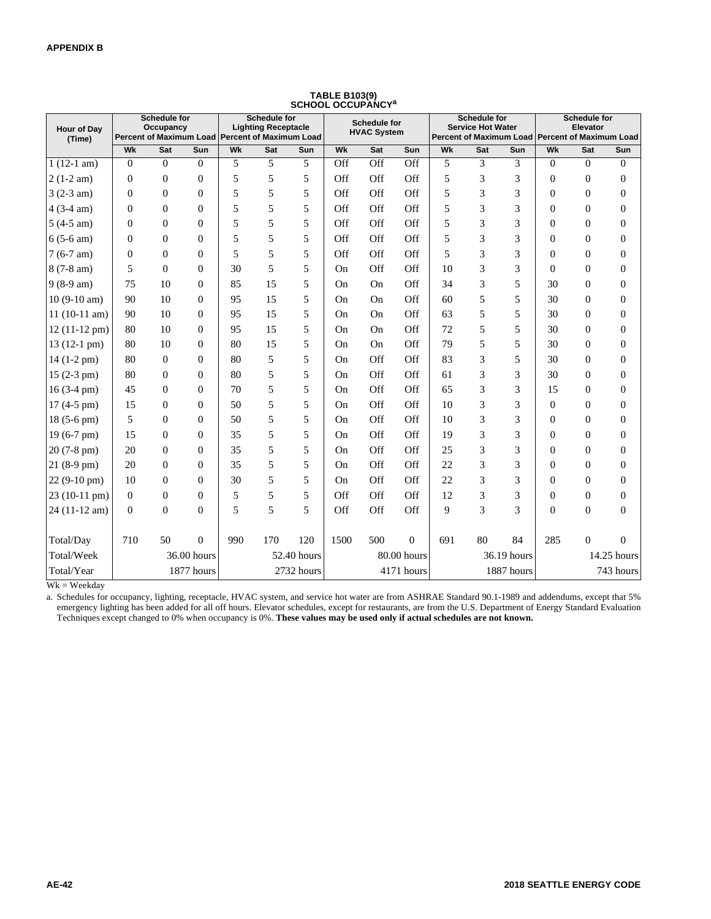| <b>Hour of Dav</b><br>(Time) |                  | <b>Schedule for</b><br>Occupancy<br>Percent of Maximum Load Percent of Maximum Load |                |     | <b>Schedule for</b><br><b>Lighting Receptacle</b> |             |                | <b>Schedule for</b><br><b>HVAC System</b> |                |     | <b>Schedule for</b><br><b>Service Hot Water</b> |             | Percent of Maximum Load Percent of Maximum Load | <b>Schedule for</b><br>Elevator |                  |
|------------------------------|------------------|-------------------------------------------------------------------------------------|----------------|-----|---------------------------------------------------|-------------|----------------|-------------------------------------------|----------------|-----|-------------------------------------------------|-------------|-------------------------------------------------|---------------------------------|------------------|
|                              | Wk               | <b>Sat</b>                                                                          | Sun            | Wk  | Sat                                               | Sun         | Wk             | Sat                                       | Sun            | Wk  | Sat                                             | Sun         | Wk                                              | Sat                             | Sun              |
| $1(12-1 am)$                 | $\Omega$         | $\Omega$                                                                            | $\Omega$       | 5   | 5                                                 | 5           | Off            | Off                                       | Off            | 5   | 3                                               | 3           | $\Omega$                                        | $\theta$                        | $\Omega$         |
| $2(1-2 am)$                  | $\mathbf{0}$     | $\mathbf{0}$                                                                        | $\theta$       | 5   | 5                                                 | 5           | Off            | Off                                       | Off            | 5   | 3                                               | 3           | $\theta$                                        | $\boldsymbol{0}$                | $\boldsymbol{0}$ |
| $3(2-3 am)$                  | $\mathbf{0}$     | $\theta$                                                                            | $\Omega$       | 5   | 5                                                 | 5           | Off            | Off                                       | Off            | 5   | 3                                               | 3           | $\theta$                                        | $\theta$                        | $\boldsymbol{0}$ |
| $4(3-4 am)$                  | $\overline{0}$   | $\theta$                                                                            | $\Omega$       | 5   | 5                                                 | 5           | Off            | Off                                       | Off            | 5   | 3                                               | 3           | $\theta$                                        | $\boldsymbol{0}$                | $\boldsymbol{0}$ |
| $5(4-5 am)$                  | $\overline{0}$   | $\Omega$                                                                            | $\Omega$       | 5   | 5                                                 | 5           | Off            | Off                                       | Off            | 5   | 3                                               | 3           | $\Omega$                                        | $\mathbf{0}$                    | $\boldsymbol{0}$ |
| $6(5-6 am)$                  | $\Omega$         | $\Omega$                                                                            | $\Omega$       | 5   | 5                                                 | 5           | Off            | Off                                       | Off            | 5   | 3                                               | 3           | $\theta$                                        | $\theta$                        | $\boldsymbol{0}$ |
| $7(6-7 am)$                  | $\theta$         | $\theta$                                                                            | $\Omega$       | 5   | 5                                                 | 5           | Off            | Off                                       | Off            | 5   | 3                                               | 3           | $\Omega$                                        | $\boldsymbol{0}$                | $\boldsymbol{0}$ |
| $8(7-8 am)$                  | 5                | $\Omega$                                                                            | $\Omega$       | 30  | 5                                                 | 5           | On             | Off                                       | Off            | 10  | 3                                               | 3           | $\Omega$                                        | $\boldsymbol{0}$                | $\boldsymbol{0}$ |
| $9(8-9 am)$                  | 75               | 10                                                                                  | $\Omega$       | 85  | 15                                                | 5           | On             | On                                        | Off            | 34  | 3                                               | 5           | 30                                              | $\mathbf{0}$                    | $\boldsymbol{0}$ |
| $10(9-10 am)$                | 90               | 10                                                                                  | $\theta$       | 95  | 15                                                | 5           | On             | On                                        | Off            | 60  | 5                                               | 5           | 30                                              | $\overline{0}$                  | $\boldsymbol{0}$ |
| $11(10-11 am)$               | 90               | 10                                                                                  | $\Omega$       | 95  | 15                                                | 5           | On             | On                                        | Off            | 63  | 5                                               | 5           | 30                                              | $\boldsymbol{0}$                | $\boldsymbol{0}$ |
| $12(11-12 \text{ pm})$       | 80               | 10                                                                                  | $\Omega$       | 95  | 15                                                | 5           | On             | On                                        | Off            | 72  | 5                                               | 5           | 30                                              | $\overline{0}$                  | $\boldsymbol{0}$ |
| $13(12-1)$ pm)               | 80               | 10                                                                                  | $\Omega$       | 80  | 15                                                | 5           | On             | On                                        | Off            | 79  | 5                                               | 5           | 30                                              | $\overline{0}$                  | $\boldsymbol{0}$ |
| $14(1-2)$ pm $)$             | 80               | $\mathbf{0}$                                                                        | $\Omega$       | 80  | 5                                                 | 5           | On             | Off                                       | Off            | 83  | 3                                               | 5           | 30                                              | $\boldsymbol{0}$                | $\boldsymbol{0}$ |
| $15(2-3)$ pm)                | 80               | $\Omega$                                                                            | $\Omega$       | 80  | 5                                                 | 5           | On             | Off                                       | Off            | 61  | 3                                               | 3           | 30                                              | $\boldsymbol{0}$                | $\boldsymbol{0}$ |
| $16(3-4)$ pm)                | 45               | $\Omega$                                                                            | $\Omega$       | 70  | 5                                                 | 5           | O <sub>n</sub> | Off                                       | Off            | 65  | 3                                               | 3           | 15                                              | $\overline{0}$                  | $\boldsymbol{0}$ |
| $17(4-5)$ pm)                | 15               | $\overline{0}$                                                                      | $\overline{0}$ | 50  | 5                                                 | 5           | On             | Off                                       | Off            | 10  | 3                                               | 3           | $\theta$                                        | $\boldsymbol{0}$                | $\boldsymbol{0}$ |
| $18(5-6)$ pm)                | 5                | $\Omega$                                                                            | $\Omega$       | 50  | 5                                                 | 5           | On             | Off                                       | Off            | 10  | 3                                               | 3           | $\Omega$                                        | $\boldsymbol{0}$                | $\boldsymbol{0}$ |
| $19(6-7)$ pm)                | 15               | $\theta$                                                                            | $\theta$       | 35  | 5                                                 | 5           | On             | Off                                       | Off            | 19  | 3                                               | 3           | $\theta$                                        | $\boldsymbol{0}$                | $\boldsymbol{0}$ |
| $20(7-8)$ pm)                | 20               | $\theta$                                                                            | $\theta$       | 35  | 5                                                 | 5           | On             | Off                                       | Off            | 25  | 3                                               | 3           | $\theta$                                        | $\theta$                        | $\theta$         |
| $21(8-9)$ pm)                | 20               | $\overline{0}$                                                                      | $\mathbf{0}$   | 35  | 5                                                 | 5           | On             | Off                                       | Off            | 22  | 3                                               | 3           | $\Omega$                                        | $\boldsymbol{0}$                | $\boldsymbol{0}$ |
| $22(9-10)$ pm)               | 10               | $\Omega$                                                                            | $\Omega$       | 30  | 5                                                 | 5           | On             | Off                                       | Off            | 22  | 3                                               | 3           | $\theta$                                        | $\boldsymbol{0}$                | $\boldsymbol{0}$ |
| 23 (10-11 pm)                | $\overline{0}$   | $\Omega$                                                                            | $\Omega$       | 5   | 5                                                 | 5           | Off            | Off                                       | Off            | 12  | 3                                               | 3           | $\Omega$                                        | $\boldsymbol{0}$                | $\boldsymbol{0}$ |
| 24 (11-12 am)                | $\boldsymbol{0}$ | $\overline{0}$                                                                      | $\overline{0}$ | 5   | 5                                                 | 5           | Off            | Off                                       | Off            | 9   | 3                                               | 3           | $\overline{0}$                                  | $\boldsymbol{0}$                | $\boldsymbol{0}$ |
| Total/Day                    | 710              | 50                                                                                  | $\theta$       | 990 | 170                                               | 120         | 1500           | 500                                       | $\overline{0}$ | 691 | 80                                              | 84          | 285                                             | $\Omega$                        | $\overline{0}$   |
| Total/Week                   |                  |                                                                                     | 36.00 hours    |     |                                                   | 52.40 hours |                |                                           | 80.00 hours    |     |                                                 | 36.19 hours |                                                 |                                 | 14.25 hours      |
| Total/Year                   |                  |                                                                                     | 1877 hours     |     |                                                   | 2732 hours  |                |                                           | 4171 hours     |     |                                                 | 1887 hours  |                                                 |                                 | 743 hours        |

## **TABLE B103(9) SCHOOL OCCUPANCY<sup>a</sup>**

 $Wk = Weekday$